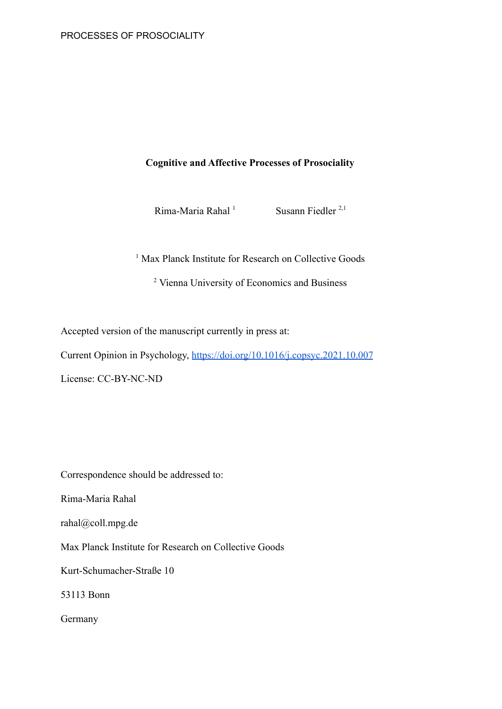# **Cognitive and Affective Processes of Prosociality**

Rima-Maria Rahal<sup>1</sup> Susann Fiedler<sup>2,1</sup>

<sup>1</sup> Max Planck Institute for Research on Collective Goods

<sup>2</sup> Vienna University of Economics and Business

Accepted version of the manuscript currently in press at:

Current Opinion in Psychology, <https://doi.org/10.1016/j.copsyc.2021.10.007>

License: CC-BY-NC-ND

Correspondence should be addressed to:

Rima-Maria Rahal

rahal@coll.mpg.de

Max Planck Institute for Research on Collective Goods

Kurt-Schumacher-Straße 10

53113 Bonn

Germany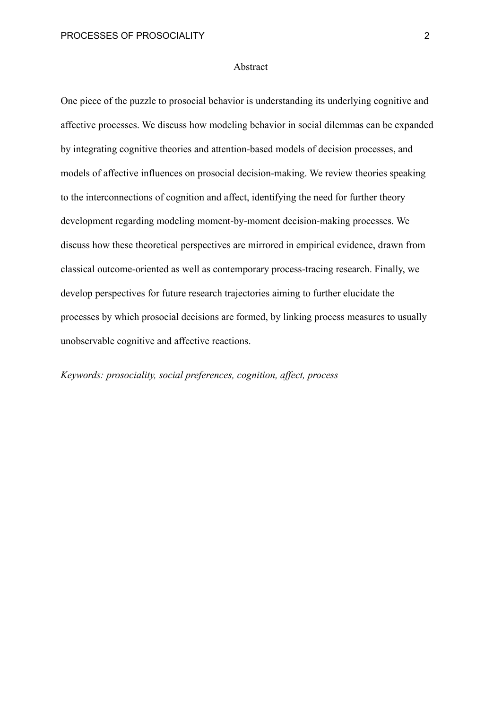## Abstract

One piece of the puzzle to prosocial behavior is understanding its underlying cognitive and affective processes. We discuss how modeling behavior in social dilemmas can be expanded by integrating cognitive theories and attention-based models of decision processes, and models of affective influences on prosocial decision-making. We review theories speaking to the interconnections of cognition and affect, identifying the need for further theory development regarding modeling moment-by-moment decision-making processes. We discuss how these theoretical perspectives are mirrored in empirical evidence, drawn from classical outcome-oriented as well as contemporary process-tracing research. Finally, we develop perspectives for future research trajectories aiming to further elucidate the processes by which prosocial decisions are formed, by linking process measures to usually unobservable cognitive and affective reactions.

*Keywords: prosociality, social preferences, cognition, affect, process*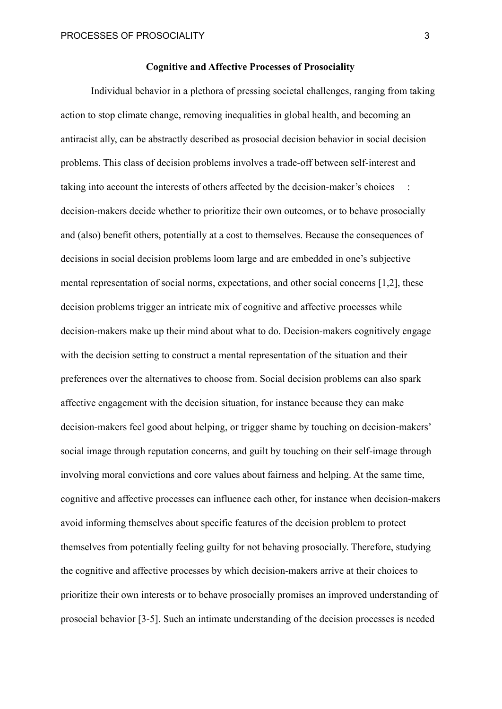## **Cognitive and Affective Processes of Prosociality**

Individual behavior in a plethora of pressing societal challenges, ranging from taking action to stop climate change, removing inequalities in global health, and becoming an antiracist ally, can be abstractly described as prosocial decision behavior in social decision problems. This class of decision problems involves a trade-off between self-interest and taking into account the interests of others affected by the decision-maker's choices : decision-makers decide whether to prioritize their own outcomes, or to behave prosocially and (also) benefit others, potentially at a cost to themselves. Because the consequences of decisions in social decision problems loom large and are embedded in one's subjective mental representation of social norms, expectations, and other social concerns [1,2], these decision problems trigger an intricate mix of cognitive and affective processes while decision-makers make up their mind about what to do. Decision-makers cognitively engage with the decision setting to construct a mental representation of the situation and their preferences over the alternatives to choose from. Social decision problems can also spark affective engagement with the decision situation, for instance because they can make decision-makers feel good about helping, or trigger shame by touching on decision-makers' social image through reputation concerns, and guilt by touching on their self-image through involving moral convictions and core values about fairness and helping. At the same time, cognitive and affective processes can influence each other, for instance when decision-makers avoid informing themselves about specific features of the decision problem to protect themselves from potentially feeling guilty for not behaving prosocially. Therefore, studying the cognitive and affective processes by which decision-makers arrive at their choices to prioritize their own interests or to behave prosocially promises an improved understanding of prosocial behavior [3-5]. Such an intimate understanding of the decision processes is needed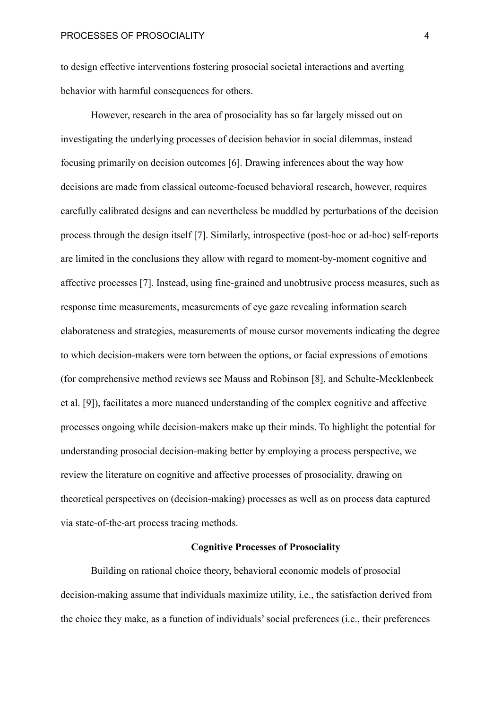to design effective interventions fostering prosocial societal interactions and averting behavior with harmful consequences for others.

However, research in the area of prosociality has so far largely missed out on investigating the underlying processes of decision behavior in social dilemmas, instead focusing primarily on decision outcomes [6]. Drawing inferences about the way how decisions are made from classical outcome-focused behavioral research, however, requires carefully calibrated designs and can nevertheless be muddled by perturbations of the decision process through the design itself [7]. Similarly, introspective (post-hoc or ad-hoc) self-reports are limited in the conclusions they allow with regard to moment-by-moment cognitive and affective processes [7]. Instead, using fine-grained and unobtrusive process measures, such as response time measurements, measurements of eye gaze revealing information search elaborateness and strategies, measurements of mouse cursor movements indicating the degree to which decision-makers were torn between the options, or facial expressions of emotions (for comprehensive method reviews see Mauss and Robinson [8], and Schulte-Mecklenbeck et al. [9]), facilitates a more nuanced understanding of the complex cognitive and affective processes ongoing while decision-makers make up their minds. To highlight the potential for understanding prosocial decision-making better by employing a process perspective, we review the literature on cognitive and affective processes of prosociality, drawing on theoretical perspectives on (decision-making) processes as well as on process data captured via state-of-the-art process tracing methods.

## **Cognitive Processes of Prosociality**

Building on rational choice theory, behavioral economic models of prosocial decision-making assume that individuals maximize utility, i.e., the satisfaction derived from the choice they make, as a function of individuals' social preferences (i.e., their preferences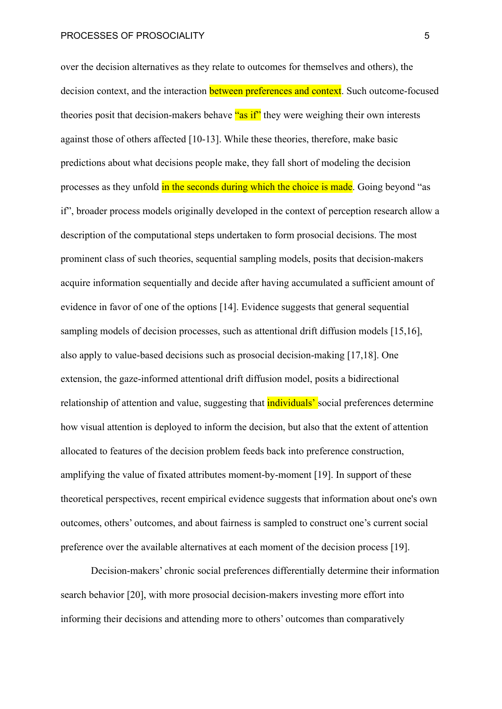over the decision alternatives as they relate to outcomes for themselves and others), the decision context, and the interaction **between preferences and context**. Such outcome-focused theories posit that decision-makers behave "as if" they were weighing their own interests against those of others affected [10-13]. While these theories, therefore, make basic predictions about what decisions people make, they fall short of modeling the decision processes as they unfold in the seconds during which the choice is made. Going beyond "as if", broader process models originally developed in the context of perception research allow a description of the computational steps undertaken to form prosocial decisions. The most prominent class of such theories, sequential sampling models, posits that decision-makers acquire information sequentially and decide after having accumulated a sufficient amount of evidence in favor of one of the options [14]. Evidence suggests that general sequential sampling models of decision processes, such as attentional drift diffusion models [15,16], also apply to value-based decisions such as prosocial decision-making [17,18]. One extension, the gaze-informed attentional drift diffusion model, posits a bidirectional relationship of attention and value, suggesting that **individuals'** social preferences determine how visual attention is deployed to inform the decision, but also that the extent of attention allocated to features of the decision problem feeds back into preference construction, amplifying the value of fixated attributes moment-by-moment [19]. In support of these theoretical perspectives, recent empirical evidence suggests that information about one's own outcomes, others' outcomes, and about fairness is sampled to construct one's current social preference over the available alternatives at each moment of the decision process [19].

Decision-makers' chronic social preferences differentially determine their information search behavior [20], with more prosocial decision-makers investing more effort into informing their decisions and attending more to others' outcomes than comparatively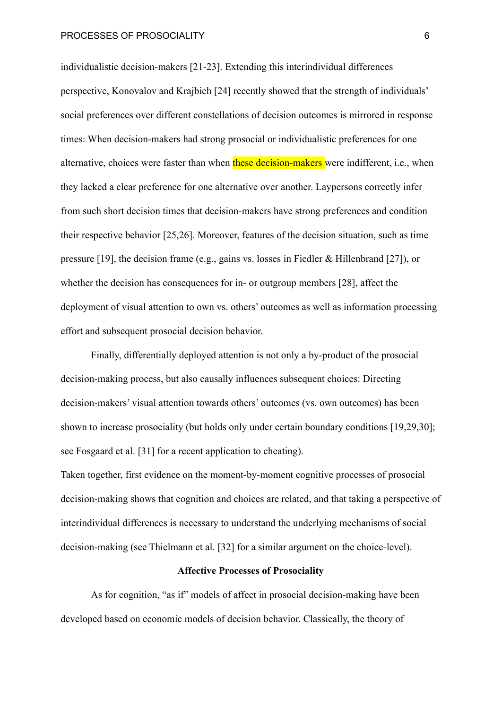individualistic decision-makers [21-23]. Extending this interindividual differences perspective, Konovalov and Krajbich [24] recently showed that the strength of individuals' social preferences over different constellations of decision outcomes is mirrored in response times: When decision-makers had strong prosocial or individualistic preferences for one alternative, choices were faster than when these decision-makers were indifferent, i.e., when they lacked a clear preference for one alternative over another. Laypersons correctly infer from such short decision times that decision-makers have strong preferences and condition their respective behavior [25,26]. Moreover, features of the decision situation, such as time pressure [19], the decision frame (e.g., gains vs. losses in Fiedler & Hillenbrand [27]), or whether the decision has consequences for in- or outgroup members [28], affect the deployment of visual attention to own vs. others' outcomes as well as information processing effort and subsequent prosocial decision behavior.

Finally, differentially deployed attention is not only a by-product of the prosocial decision-making process, but also causally influences subsequent choices: Directing decision-makers' visual attention towards others' outcomes (vs. own outcomes) has been shown to increase prosociality (but holds only under certain boundary conditions [19,29,30]; see Fosgaard et al. [31] for a recent application to cheating).

Taken together, first evidence on the moment-by-moment cognitive processes of prosocial decision-making shows that cognition and choices are related, and that taking a perspective of interindividual differences is necessary to understand the underlying mechanisms of social decision-making (see Thielmann et al. [32] for a similar argument on the choice-level).

## **Affective Processes of Prosociality**

As for cognition, "as if" models of affect in prosocial decision-making have been developed based on economic models of decision behavior. Classically, the theory of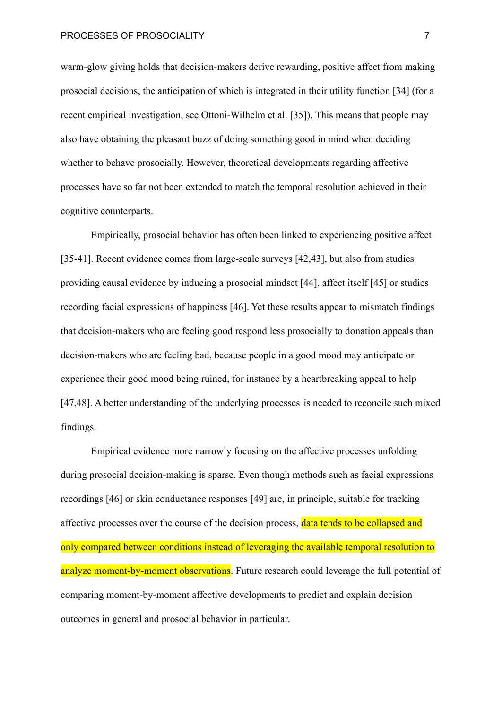warm-glow giving holds that decision-makers derive rewarding, positive affect from making prosocial decisions, the anticipation of which is integrated in their utility function [34] (for a recent empirical investigation, see Ottoni-Wilhelm et al. [35]). This means that people may also have obtaining the pleasant buzz of doing something good in mind when deciding whether to behave prosocially. However, theoretical developments regarding affective processes have so far not been extended to match the temporal resolution achieved in their cognitive counterparts.

Empirically, prosocial behavior has often been linked to experiencing positive affect [35-41]. Recent evidence comes from large-scale surveys [42,43], but also from studies providing causal evidence by inducing a prosocial mindset [44], affect itself [45] or studies recording facial expressions of happiness [46]. Yet these results appear to mismatch findings that decision-makers who are feeling good respond less prosocially to donation appeals than decision-makers who are feeling bad, because people in a good mood may anticipate or experience their good mood being ruined, for instance by a heartbreaking appeal to help [47,48]. A better understanding of the underlying processes is needed to reconcile such mixed findings.

Empirical evidence more narrowly focusing on the affective processes unfolding during prosocial decision-making is sparse. Even though methods such as facial expressions recordings [46] or skin conductance responses [49] are, in principle, suitable for tracking affective processes over the course of the decision process, data tends to be collapsed and only compared between conditions instead of leveraging the available temporal resolution to analyze moment-by-moment observations. Future research could leverage the full potential of comparing moment-by-moment affective developments to predict and explain decision outcomes in general and prosocial behavior in particular.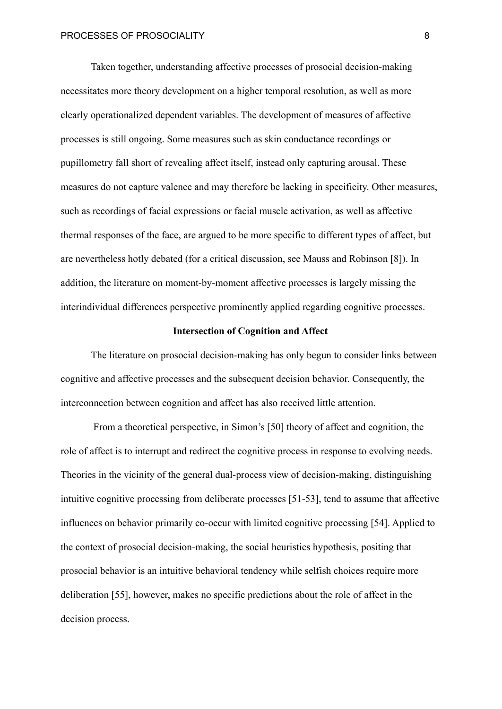Taken together, understanding affective processes of prosocial decision-making necessitates more theory development on a higher temporal resolution, as well as more clearly operationalized dependent variables. The development of measures of affective processes is still ongoing. Some measures such as skin conductance recordings or pupillometry fall short of revealing affect itself, instead only capturing arousal. These measures do not capture valence and may therefore be lacking in specificity. Other measures, such as recordings of facial expressions or facial muscle activation, as well as affective thermal responses of the face, are argued to be more specific to different types of affect, but are nevertheless hotly debated (for a critical discussion, [see Mauss and Robinson \[8\]\).](https://www.zotero.org/google-docs/?qBcbi6) In addition, the literature on moment-by-moment affective processes is largely missing the interindividual differences perspective prominently applied regarding cognitive processes.

## **Intersection of Cognition and Affect**

The literature on prosocial decision-making has only begun to consider links between cognitive and affective processes and the subsequent decision behavior. Consequently, the interconnection between cognition and affect has also received little attention.

From a theoretical perspective, in Simon's [50] theory of affect and cognition, the role of affect is to interrupt and redirect the cognitive process in response to evolving needs. Theories in the vicinity of the general dual-process view of decision-making, distinguishing intuitive cognitive processing from deliberate processes [51-53], tend to assume that affective influences on behavior primarily co-occur with limited cognitive processing [54]. Applied to the context of prosocial decision-making, the social heuristics hypothesis, positing that prosocial behavior is an intuitive behavioral tendency while selfish choices require more deliberation [55], however, makes no specific predictions about the role of affect in the decision process.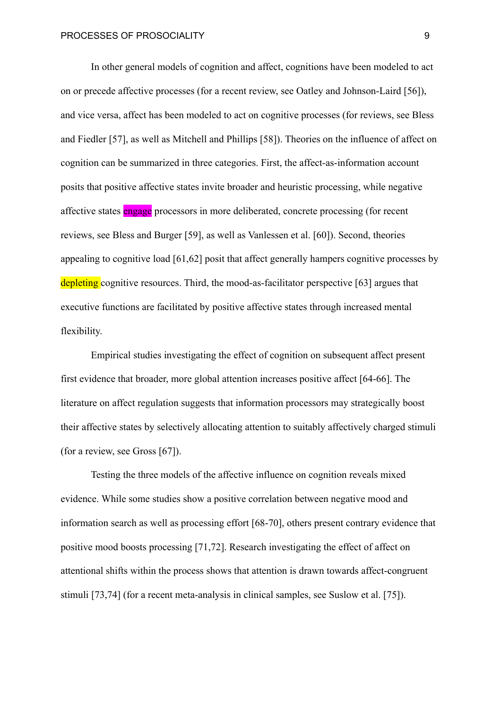In other general models of cognition and affect, cognitions have been modeled to act on or precede affective processes (for a recent review, see Oatley and Johnson-Laird [56]), and vice versa, affect has been modeled to act on cognitive processes (for reviews, see Bless and Fiedler [57], as well as Mitchell and Phillips [58]). Theories on the influence of affect on cognition can be summarized in three categories. First, the affect-as-information account posits that positive affective states invite broader and heuristic processing, while negative affective states engage processors in more deliberated, concrete processing (for recent reviews, see Bless and Burger [59], as well as Vanlessen et al. [60]). Second, theories appealing to cognitive load [61,62] posit that affect generally hampers cognitive processes by depleting cognitive resources. Third, the mood-as-facilitator perspective [63] argues that executive functions are facilitated by positive affective states through increased mental flexibility.

Empirical studies investigating the effect of cognition on subsequent affect present first evidence that broader, more global attention increases positive affect [64-66]. The literature on affect regulation suggests that information processors may strategically boost their affective states by selectively allocating attention to suitably affectively charged stimuli (for a review, see Gross [67]).

Testing the three models of the affective influence on cognition reveals mixed evidence. While some studies show a positive correlation between negative mood and information search as well as processing effort [68-70], others present contrary evidence that positive mood boosts processing [71,72]. Research investigating the effect of affect on attentional shifts within the process shows that attention is drawn towards affect-congruent stimuli [73,74] (for a recent meta-analysis in clinical samples, see Suslow et al. [75]).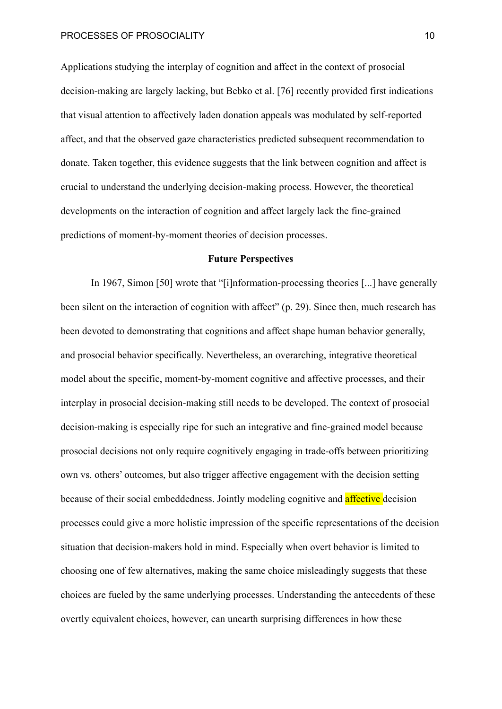Applications studying the interplay of cognition and affect in the context of prosocial decision-making are largely lacking, but Bebko et al. [76] recently provided first indications that visual attention to affectively laden donation appeals was modulated by self-reported affect, and that the observed gaze characteristics predicted subsequent recommendation to donate. Taken together, this evidence suggests that the link between cognition and affect is crucial to understand the underlying decision-making process. However, the theoretical developments on the interaction of cognition and affect largely lack the fine-grained predictions of moment-by-moment theories of decision processes.

## **Future Perspectives**

In 1967, Simon [50] wrote that "[i]nformation-processing theories [...] have generally been silent on the interaction of cognition with affect" (p. 29). Since then, much research has been devoted to demonstrating that cognitions and affect shape human behavior generally, and prosocial behavior specifically. Nevertheless, an overarching, integrative theoretical model about the specific, moment-by-moment cognitive and affective processes, and their interplay in prosocial decision-making still needs to be developed. The context of prosocial decision-making is especially ripe for such an integrative and fine-grained model because prosocial decisions not only require cognitively engaging in trade-offs between prioritizing own vs. others' outcomes, but also trigger affective engagement with the decision setting because of their social embeddedness. Jointly modeling cognitive and **affective** decision processes could give a more holistic impression of the specific representations of the decision situation that decision-makers hold in mind. Especially when overt behavior is limited to choosing one of few alternatives, making the same choice misleadingly suggests that these choices are fueled by the same underlying processes. Understanding the antecedents of these overtly equivalent choices, however, can unearth surprising differences in how these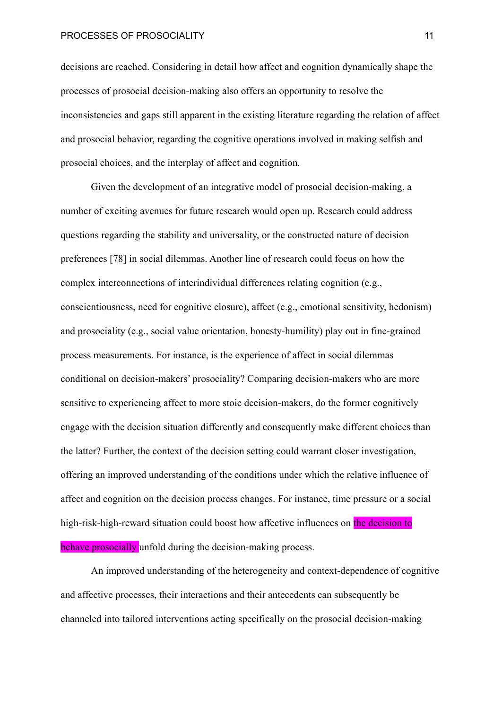PROCESSES OF PROSOCIALITY **11** and 11 and 11 and 11 and 11 and 11 and 11 and 11 and 11 and 11 and 11 and 11 and 11

decisions are reached. Considering in detail how affect and cognition dynamically shape the processes of prosocial decision-making also offers an opportunity to resolve the inconsistencies and gaps still apparent in the existing literature regarding the relation of affect and prosocial behavior, regarding the cognitive operations involved in making selfish and prosocial choices, and the interplay of affect and cognition.

Given the development of an integrative model of prosocial decision-making, a number of exciting avenues for future research would open up. Research could address questions regarding the stability and universality, or the constructed nature of decision preferences [78] in social dilemmas. Another line of research could focus on how the complex interconnections of interindividual differences relating cognition (e.g., conscientiousness, need for cognitive closure), affect (e.g., emotional sensitivity, hedonism) and prosociality (e.g., social value orientation, honesty-humility) play out in fine-grained process measurements. For instance, is the experience of affect in social dilemmas conditional on decision-makers' prosociality? Comparing decision-makers who are more sensitive to experiencing affect to more stoic decision-makers, do the former cognitively engage with the decision situation differently and consequently make different choices than the latter? Further, the context of the decision setting could warrant closer investigation, offering an improved understanding of the conditions under which the relative influence of affect and cognition on the decision process changes. For instance, time pressure or a social high-risk-high-reward situation could boost how affective influences on the decision to behave prosocially unfold during the decision-making process.

An improved understanding of the heterogeneity and context-dependence of cognitive and affective processes, their interactions and their antecedents can subsequently be channeled into tailored interventions acting specifically on the prosocial decision-making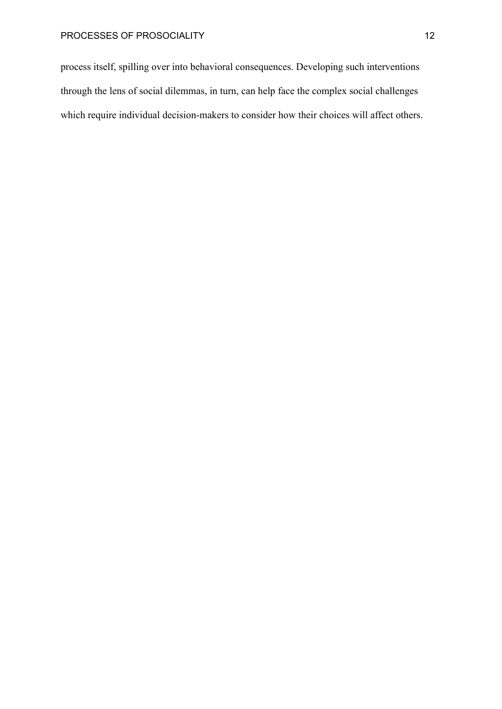process itself, spilling over into behavioral consequences. Developing such interventions through the lens of social dilemmas, in turn, can help face the complex social challenges which require individual decision-makers to consider how their choices will affect others.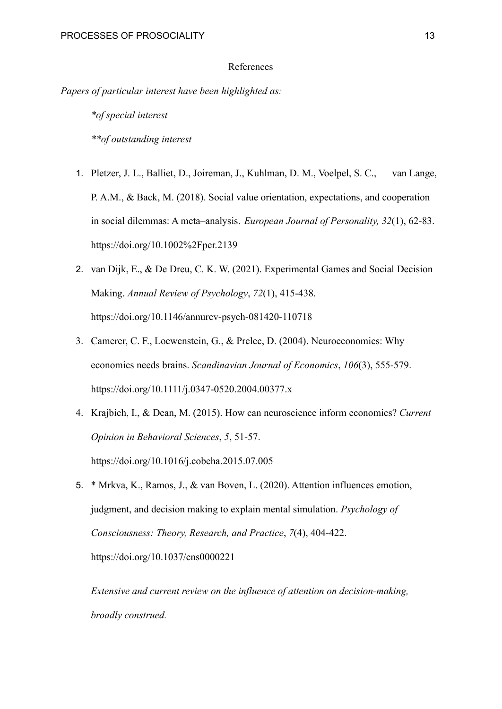## References

*Papers of particular interest have been highlighted as:*

*\*of special interest \*\*of outstanding interest*

- 1. Pletzer, J. L., Balliet, D., Joireman, J., Kuhlman, D. M., Voelpel, S. C., van Lange, P. A.M., & Back, M. (2018). Social value orientation, expectations, and cooperation in social dilemmas: A meta–analysis. *European Journal of Personality, 32*(1), 62-83. <https://doi.org/10.1002%2Fper.2139>
- 2. van Dijk, E., & De Dreu, C. K. W. (2021). Experimental Games and Social Decision Making. *Annual Review of Psychology*, *72*(1), 415-438[.](https://doi.org/10.1146/annurev-psych-081420-110718) <https://doi.org/10.1146/annurev-psych-081420-110718>
- 3. Camerer, C. F., Loewenstein, G., & Prelec, D. (2004). Neuroeconomics: Why economics needs brains. *Scandinavian Journal of Economics*, *106*(3), 555-579. <https://doi.org/10.1111/j.0347-0520.2004.00377.x>
- 4. Krajbich, I., & Dean, M. (2015). How can neuroscience inform economics? *Current Opinion in Behavioral Sciences*, *5*, 51-57[.](https://doi.org/10.1016/j.cobeha.2015.07.005) <https://doi.org/10.1016/j.cobeha.2015.07.005>
- 5. \* Mrkva, K., Ramos, J., & van Boven, L. (2020). Attention influences emotion, judgment, and decision making to explain mental simulation. *Psychology of Consciousness: Theory, Research, and Practice*, *7*(4), 404-422. <https://doi.org/10.1037/cns0000221>

*Extensive and current review on the influence of attention on decision-making, broadly construed.*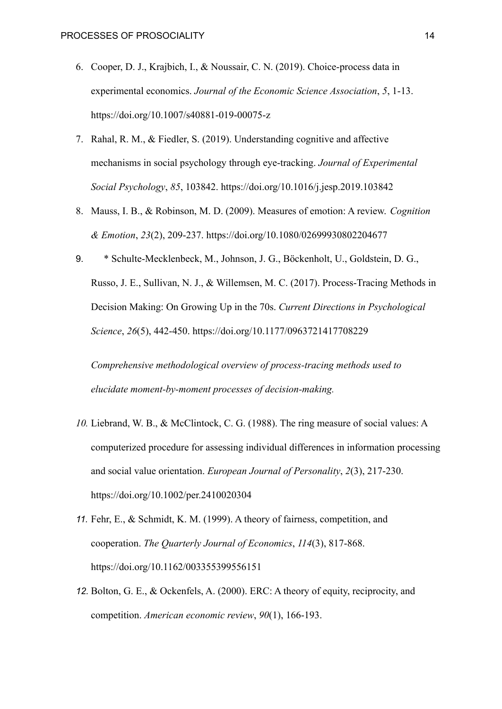- 6. Cooper, D. J., Krajbich, I., & Noussair, C. N. (2019). Choice-process data in experimental economics. *Journal of the Economic Science Association*, *5*, 1-13. <https://doi.org/10.1007/s40881-019-00075-z>
- 7. Rahal, R. M., & Fiedler, S. (2019). Understanding cognitive and affective mechanisms in social psychology through eye-tracking. *Journal of Experimental Social Psychology*, *85*, 103842. <https://doi.org/10.1016/j.jesp.2019.103842>
- 8. Mauss, I. B., & Robinson, M. D. (2009). Measures of emotion: A review. *Cognition & Emotion*, *23*(2), 209-237. <https://doi.org/10.1080/02699930802204677>
- 9. \* Schulte-Mecklenbeck, M., Johnson, J. G., Böckenholt, U., Goldstein, D. G., Russo, J. E., Sullivan, N. J., & Willemsen, M. C. (2017). Process-Tracing Methods in Decision Making: On Growing Up in the 70s. *Current Directions in Psychological Science*, *26*(5), 442-450. [https://doi.org/10.1177/0963721417708229](https://doi.org/%C2%AD10.1177/%C2%AD0963721417708229)

*Comprehensive methodological overview of process-tracing methods used to elucidate moment-by-moment processes of decision-making.*

- *10.* Liebrand, W. B., & McClintock, C. G. (1988). The ring measure of social values: A computerized procedure for assessing individual differences in information processing and social value orientation. *European Journal of Personality*, *2*(3), 217-230[.](https://doi.org/10.1002/per.2410020304) <https://doi.org/10.1002/per.2410020304>
- *11.* Fehr, E., & Schmidt, K. M. (1999). A theory of fairness, competition, and cooperation. *The Quarterly Journal of Economics*, *114*(3), 817-868[.](https://doi.org/10.1162/003355399556151) <https://doi.org/10.1162/003355399556151>
- *12.* Bolton, G. E., & Ockenfels, A. (2000). ERC: A theory of equity, reciprocity, and competition. *American economic review*, *90*(1), 166-193.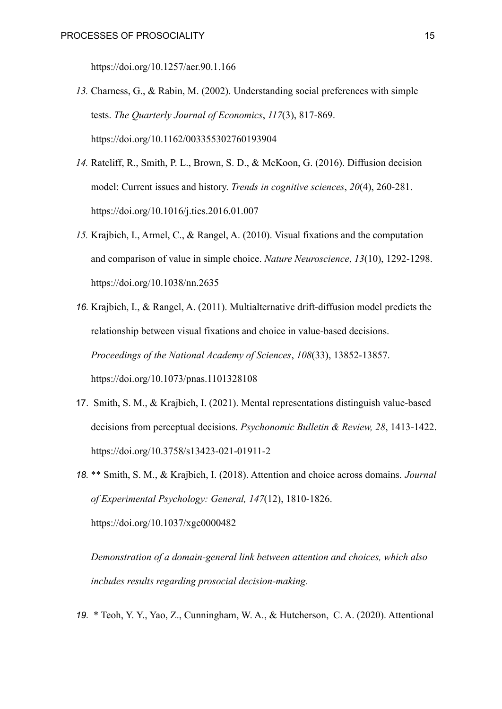<https://doi.org/10.1257/aer.90.1.166>

- *13.* Charness, G., & Rabin, M. (2002). Understanding social preferences with simple tests. *The Quarterly Journal of Economics*, *117*(3), 817-869[.](https://doi.org/10.1162/003355302760193904) <https://doi.org/10.1162/003355302760193904>
- *14.* Ratcliff, R., Smith, P. L., Brown, S. D., & McKoon, G. (2016). Diffusion decision model: Current issues and history. *Trends in cognitive sciences*, *20*(4), 260-281[.](https://doi.org/10.1016/j.tics.2016.01.007) <https://doi.org/10.1016/j.tics.2016.01.007>
- *15.* Krajbich, I., Armel, C., & Rangel, A. (2010). Visual fixations and the computation and comparison of value in simple choice. *Nature Neuroscience*, *13*(10), 1292-1298. <https://doi.org/10.1038/nn.2635>
- *16.* Krajbich, I., & Rangel, A. (2011). Multialternative drift-diffusion model predicts the relationship between visual fixations and choice in value-based decisions. *Proceedings of the National Academy of Sciences*, *108*(33), 13852-13857[.](https://doi.org/10.1073/pnas.1101328108) <https://doi.org/10.1073/pnas.1101328108>
- 17. Smith, S. M., & Krajbich, I. (2021). Mental representations distinguish value-based decisions from perceptual decisions. *Psychonomic Bulletin & Review, 28*, 1413-1422. <https://doi.org/10.3758/s13423-021-01911-2>
- *18.* \*\* Smith, S. M., & Krajbich, I. (2018). Attention and choice across domains. *Journal of Experimental Psychology: General, 147*(12), 1810-1826. [https://doi.org/10.1037/xge0000482](https://psycnet.apa.org/doi/10.1037/xge0000482)

*Demonstration of a domain-general link between attention and choices, which also includes results regarding prosocial decision-making.*

*19.* \* Teoh, Y. Y., Yao, Z., Cunningham, W. A., & Hutcherson, C. A. (2020). Attentional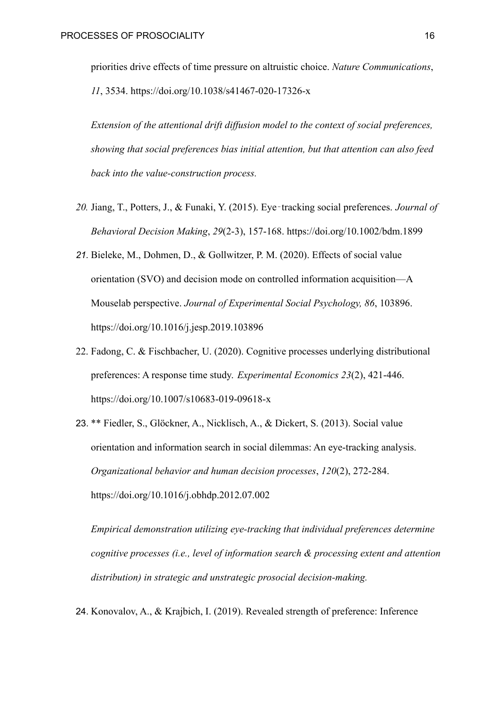priorities drive effects of time pressure on altruistic choice. *Nature Communications*, *11*, 3534[.](https://doi.org/10.1038/s41467-020-17326-x) [https://doi.org/10.1038/s41467-020-17326-x](https://doi.org/10.1038/%C2%ADs41467-020-17326-x)

*Extension of the attentional drift diffusion model to the context of social preferences, showing that social preferences bias initial attention, but that attention can also feed back into the value-construction process.*

- *20.* Jiang, T., Potters, J., & Funaki, Y. (2015). Eye‐tracking social preferences. *Journal of Behavioral Decision Making*, *29*(2-3), 157-168. <https://doi.org/10.1002/bdm.1899>
- *21.* Bieleke, M., Dohmen, D., & Gollwitzer, P. M. (2020). Effects of social value orientation (SVO) and decision mode on controlled information acquisition—A Mouselab perspective. *Journal of Experimental Social Psychology, 86*, 103896. <https://doi.org/10.1016/j.jesp.2019.103896>
- 22. Fadong, C. & Fischbacher, U. (2020). Cognitive processes underlying distributional preferences: A response time study. *Experimental Economics 23*(2), 421-446. <https://doi.org/10.1007/s10683-019-09618-x>
- 23. \*\* Fiedler, S., Glöckner, A., Nicklisch, A., & Dickert, S. (2013). Social value orientation and information search in social dilemmas: An eye-tracking analysis. *Organizational behavior and human decision processes*, *120*(2), 272-284[.](https://doi.org/10.1016/j.obhdp.2012.07.002) <https://doi.org/10.1016/j.obhdp.2012.07.002>

*Empirical demonstration utilizing eye-tracking that individual preferences determine cognitive processes (i.e., level of information search & processing extent and attention distribution) in strategic and unstrategic prosocial decision-making.*

24. Konovalov, A., & Krajbich, I. (2019). Revealed strength of preference: Inference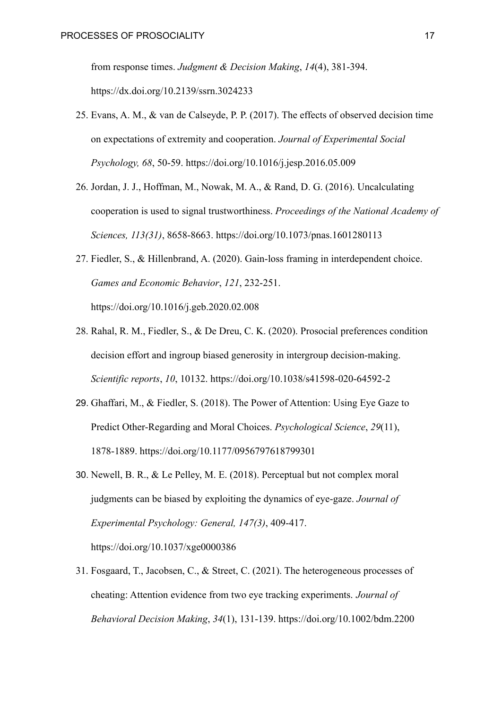from response times. *Judgment & Decision Making*, *14*(4), 381-394. <https://dx.doi.org/10.2139/ssrn.3024233>

- 25. Evans, A. M., & van de Calseyde, P. P. (2017). The effects of observed decision time on expectations of extremity and cooperation. *Journal of Experimental Social Psychology, 68*, 50-59. <https://doi.org/10.1016/j.jesp.2016.05.009>
- 26. Jordan, J. J., Hoffman, M., Nowak, M. A., & Rand, D. G. (2016). Uncalculating cooperation is used to signal trustworthiness. *Proceedings of the National Academy of Sciences, 113(31)*, 8658-8663. <https://doi.org/10.1073/pnas.1601280113>
- 27. Fiedler, S., & Hillenbrand, A. (2020). Gain-loss framing in interdependent choice. *Games and Economic Behavior*, *121*, 232-251[.](https://doi.org/10.1016/j.geb.2020.02.008) <https://doi.org/10.1016/j.geb.2020.02.008>
- 28. Rahal, R. M., Fiedler, S., & De Dreu, C. K. (2020). Prosocial preferences condition decision effort and ingroup biased generosity in intergroup decision-making. *Scientific reports*, *10*, 10132. <https://doi.org/10.1038/s41598-020-64592-2>
- 29. Ghaffari, M., & Fiedler, S. (2018). The Power of Attention: Using Eye Gaze to Predict Other-Regarding and Moral Choices. *Psychological Science*, *29*(11), 1878-1889. [https://doi.org/10.1177/0956797618799301](https://doi.org/10.1177/%C2%AD0956797618799301)
- 30. Newell, B. R., & Le Pelley, M. E. (2018). Perceptual but not complex moral judgments can be biased by exploiting the dynamics of eye-gaze. *Journal of Experimental Psychology: General, 147(3)*, 409-417. <https://doi.org/10.1037/xge0000386>
- 31. Fosgaard, T., Jacobsen, C., & Street, C. (2021). The heterogeneous processes of cheating: Attention evidence from two eye tracking experiments. *Journal of Behavioral Decision Making*, *34*(1), 131-139. <https://doi.org/10.1002/bdm.2200>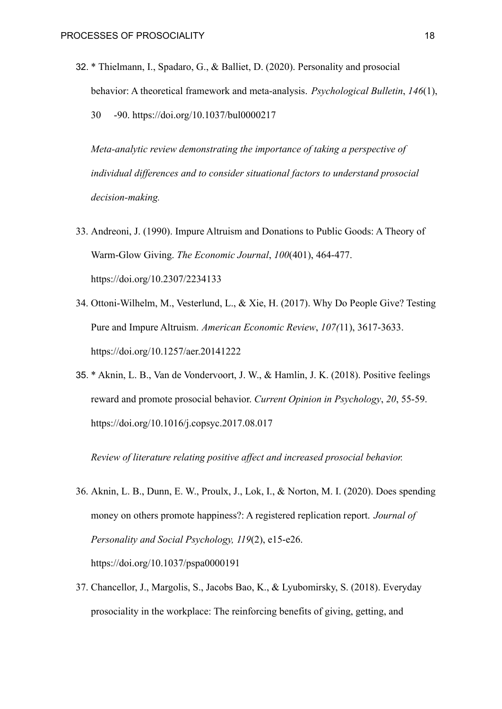32. \* Thielmann, I., Spadaro, G., & Balliet, D. (2020). Personality and prosocial behavior: A theoretical framework and meta-analysis. *Psychological Bulletin*, *146*(1), 30 -90. <https://doi.org/10.1037/bul0000217>

*Meta-analytic review demonstrating the importance of taking a perspective of individual differences and to consider situational factors to understand prosocial decision-making.*

- 33. Andreoni, J. (1990). Impure Altruism and Donations to Public Goods: A Theory of Warm-Glow Giving. *The Economic Journal*, *100*(401), 464-477[.](https://doi.org/10.2307/2234133) <https://doi.org/10.2307/2234133>
- 34. Ottoni-Wilhelm, M., Vesterlund, L., & Xie, H. (2017). Why Do People Give? Testing Pure and Impure Altruism. *American Economic Review*, *107(*11), 3617-3633[.](https://doi.org/10.1257/aer.20141222) <https://doi.org/10.1257/aer.20141222>
- 35. \* Aknin, L. B., Van de Vondervoort, J. W., & Hamlin, J. K. (2018). Positive feelings reward and promote prosocial behavior. *Current Opinion in Psychology*, *20*, 55-59[.](https://doi.org/10.1016/j.copsyc.2017.08.017) [https://doi.org/10.1016/j.copsyc.2017.08.017](https://doi.org/10.1016/%C2%ADj.copsyc.2017.08.017)

*Review of literature relating positive affect and increased prosocial behavior.*

- 36. Aknin, L. B., Dunn, E. W., Proulx, J., Lok, I., & Norton, M. I. (2020). Does spending money on others promote happiness?: A registered replication report. *Journal of Personality and Social Psychology, 119*(2), e15-e26. <https://doi.org/10.1037/pspa0000191>
- 37. Chancellor, J., Margolis, S., Jacobs Bao, K., & Lyubomirsky, S. (2018). Everyday prosociality in the workplace: The reinforcing benefits of giving, getting, and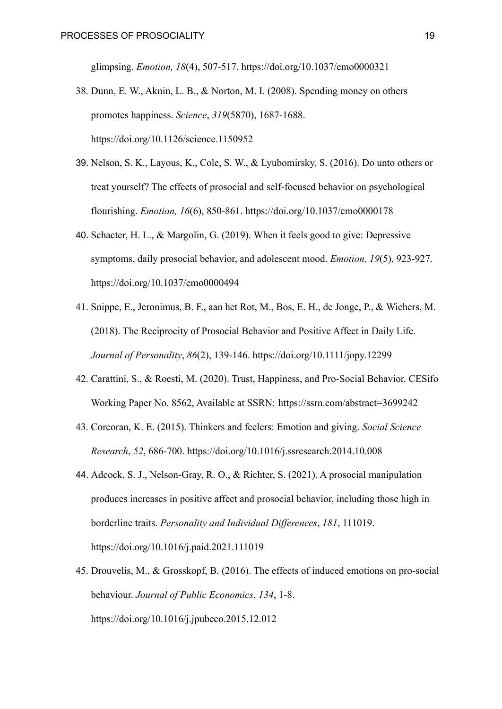glimpsing. *Emotion, 18*(4), 507-517. [https://doi.org/10.1037/emo0000321](https://psycnet.apa.org/doi/10.1037/emo0000321)

- 38. Dunn, E. W., Aknin, L. B., & Norton, M. I. (2008). Spending money on others promotes happiness. *Science*, *319*(5870), 1687-1688. <https://doi.org/10.1126/science.1150952>
- 39. Nelson, S. K., Layous, K., Cole, S. W., & Lyubomirsky, S. (2016). Do unto others or treat yourself? The effects of prosocial and self-focused behavior on psychological flourishing. *Emotion, 16*(6), 850-861[.](https://psycnet.apa.org/doi/10.1037/emo0000178) <https://doi.org/10.1037/emo0000178>
- 40. Schacter, H. L., & Margolin, G. (2019). When it feels good to give: Depressive symptoms, daily prosocial behavior, and adolescent mood. *Emotion, 19*(5), 923-927. [https://doi.org/10.1037/emo0000494](https://doi.org/10.1037/%C2%ADemo0000494)
- 41. Snippe, E., Jeronimus, B. F., aan het Rot, M., Bos, E. H., de Jonge, P., & Wichers, M. (2018). The Reciprocity of Prosocial Behavior and Positive Affect in Daily Life. *Journal of Personality*, *86*(2), 139-146. <https://doi.org/10.1111/jopy.12299>
- 42. Carattini, S., & Roesti, M. (2020). Trust, Happiness, and Pro-Social Behavior. CESifo Working Paper No. 8562, Available at SSRN: <https://ssrn.com/abstract=3699242>
- 43. Corcoran, K. E. (2015). Thinkers and feelers: Emotion and giving. *Social Science Research*, *52*, 686-700. <https://doi.org/10.1016/j.ssresearch.2014.10.008>
- 44. Adcock, S. J., Nelson-Gray, R. O., & Richter, S. (2021). A prosocial manipulation produces increases in positive affect and prosocial behavior, including those high in borderline traits. *Personality and Individual Differences*, *181*, 111019. <https://doi.org/10.1016/j.paid.2021.111019>
- 45. Drouvelis, M., & Grosskopf, B. (2016). The effects of induced emotions on pro-social behaviour. *Journal of Public Economics*, *134*, 1-8. <https://doi.org/10.1016/j.jpubeco.2015.12.012>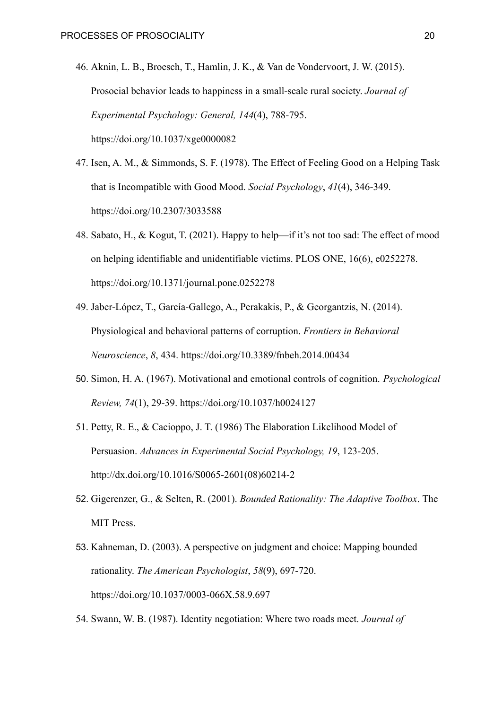- 46. Aknin, L. B., Broesch, T., Hamlin, J. K., & Van de Vondervoort, J. W. (2015). Prosocial behavior leads to happiness in a small-scale rural society. *Journal of Experimental Psychology: General, 144*(4), 788-795[.](https://psycnet.apa.org/doi/10.1037/xge0000082) <https://doi.org/10.1037/xge0000082>
- 47. Isen, A. M., & Simmonds, S. F. (1978). The Effect of Feeling Good on a Helping Task that is Incompatible with Good Mood. *Social Psychology*, *41*(4), 346-349[.](https://doi.org/10.2307/3033588) <https://doi.org/10.2307/3033588>
- 48. Sabato, H., & Kogut, T. (2021). Happy to help—if it's not too sad: The effect of mood on helping identifiable and unidentifiable victims. PLOS ONE, 16(6), e0252278. [https://doi.org/10.1371/journal.pone.0252278](https://doi.org/10.1371/%C2%ADjournal.pone.0252278)
- 49. Jaber-López, T., García-Gallego, A., Perakakis, P., & Georgantzis, N. (2014). Physiological and behavioral patterns of corruption. *Frontiers in Behavioral Neuroscience*, *8*, 434. <https://doi.org/10.3389/fnbeh.2014.00434>
- 50. Simon, H. A. (1967). Motivational and emotional controls of cognition. *Psychological Review, 74*(1), 29-39. <https://doi.org/10.1037/h0024127>
- 51. Petty, R. E., & Cacioppo, J. T. (1986) The Elaboration Likelihood Model of Persuasion. *Advances in Experimental Social Psychology, 19*, 123-205. [http://dx.doi.org/10.1016/S0065-2601\(08\)60214-2](http://dx.doi.org/10.1016/S0065-2601(08)60214-2)
- 52. Gigerenzer, G., & Selten, R. (2001). *Bounded Rationality: The Adaptive Toolbox*. The MIT Press.
- 53. Kahneman, D. (2003). A perspective on judgment and choice: Mapping bounded rationality. *The American Psychologist*, *58*(9), 697-720. <https://doi.org/10.1037/0003-066X.58.9.697>
- 54. Swann, W. B. (1987). Identity negotiation: Where two roads meet. *Journal of*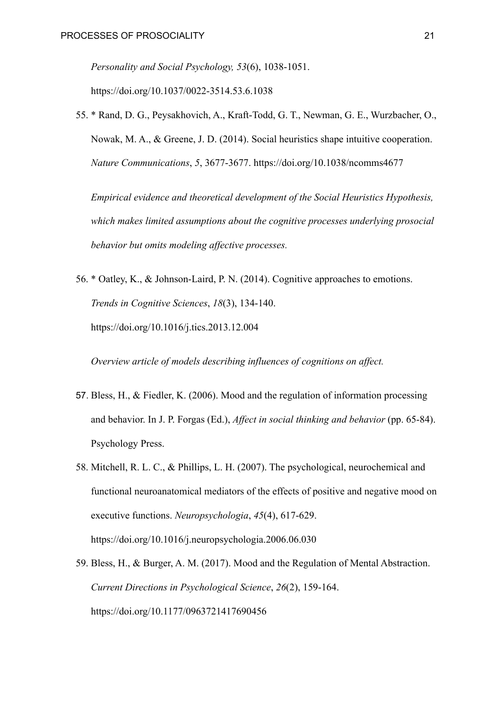*Personality and Social Psychology, 53*(6), 1038-1051. <https://doi.org/10.1037/0022-3514.53.6.1038>

55. \* Rand, D. G., Peysakhovich, A., Kraft-Todd, G. T., Newman, G. E., Wurzbacher, O., Nowak, M. A., & Greene, J. D. (2014). Social heuristics shape intuitive cooperation. *Nature Communications*, *5*, 3677-3677. <https://doi.org/10.1038/ncomms4677>

*Empirical evidence and theoretical development of the Social Heuristics Hypothesis, which makes limited assumptions about the cognitive processes underlying prosocial behavior but omits modeling affective processes.*

56. \* Oatley, K., & Johnson-Laird, P. N. (2014). Cognitive approaches to emotions. *Trends in Cognitive Sciences*, *18*(3), 134-140. <https://doi.org/10.1016/j.tics.2013.12.004>

*Overview article of models describing influences of cognitions on affect.*

- 57. Bless, H., & Fiedler, K. (2006). Mood and the regulation of information processing and behavior. In J. P. Forgas (Ed.), *Affect in social thinking and behavior* (pp. 65-84). Psychology Press.
- 58. Mitchell, R. L. C., & Phillips, L. H. (2007). The psychological, neurochemical and functional neuroanatomical mediators of the effects of positive and negative mood on executive functions. *Neuropsychologia*, *45*(4), 617-629[.](https://doi.org/10.1016/j.neuropsychologia.2006.06.030) <https://doi.org/10.1016/j.neuropsychologia.2006.06.030>
- 59. Bless, H., & Burger, A. M. (2017). Mood and the Regulation of Mental Abstraction. *Current Directions in Psychological Science*, *26*(2), 159-164. <https://doi.org/10.1177/0963721417690456>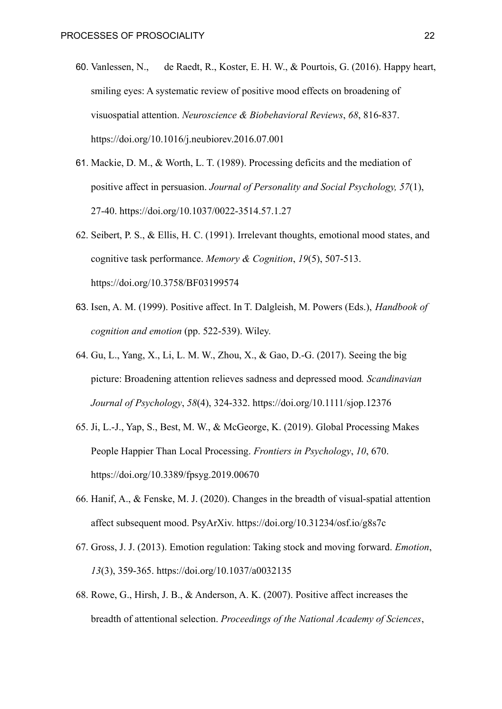- 60. Vanlessen, N., de Raedt, R., Koster, E. H. W., & Pourtois, G. (2016). Happy heart, smiling eyes: A systematic review of positive mood effects on broadening of visuospatial attention. *Neuroscience & Biobehavioral Reviews*, *68*, 816-837. <https://doi.org/10.1016/j.neubiorev.2016.07.001>
- 61. Mackie, D. M., & Worth, L. T. (1989). Processing deficits and the mediation of positive affect in persuasion. *Journal of Personality and Social Psychology, 57*(1), 27-40. [https://doi.org/10.1037/0022-3514.57.1.27](https://doi.apa.org/doi/10.1037/0022-3514.57.1.27)
- 62. Seibert, P. S., & Ellis, H. C. (1991). Irrelevant thoughts, emotional mood states, and cognitive task performance. *Memory & Cognition*, *19*(5), 507-513. <https://doi.org/10.3758/BF03199574>
- 63. Isen, A. M. (1999). Positive affect. In T. Dalgleish, M. Powers (Eds.), *Handbook of cognition and emotion* (pp. 522-539). Wiley.
- 64. Gu, L., Yang, X., Li, L. M. W., Zhou, X., & Gao, D.-G. (2017). Seeing the big picture: Broadening attention relieves sadness and depressed mood*. Scandinavian Journal of Psychology*, *58*(4), 324-332. <https://doi.org/10.1111/sjop.12376>
- 65. Ji, L.-J., Yap, S., Best, M. W., & McGeorge, K. (2019). Global Processing Makes People Happier Than Local Processing. *Frontiers in Psychology*, *10*, 670. <https://doi.org/10.3389/fpsyg.2019.00670>
- 66. Hanif, A., & Fenske, M. J. (2020). Changes in the breadth of visual-spatial attention affect subsequent mood. PsyArXiv. <https://doi.org/10.31234/osf.io/g8s7c>
- 67. Gross, J. J. (2013). Emotion regulation: Taking stock and moving forward. *Emotion*, *13*(3), 359-365. <https://doi.org/10.1037/a0032135>
- 68. Rowe, G., Hirsh, J. B., & Anderson, A. K. (2007). Positive affect increases the breadth of attentional selection. *Proceedings of the National Academy of Sciences*,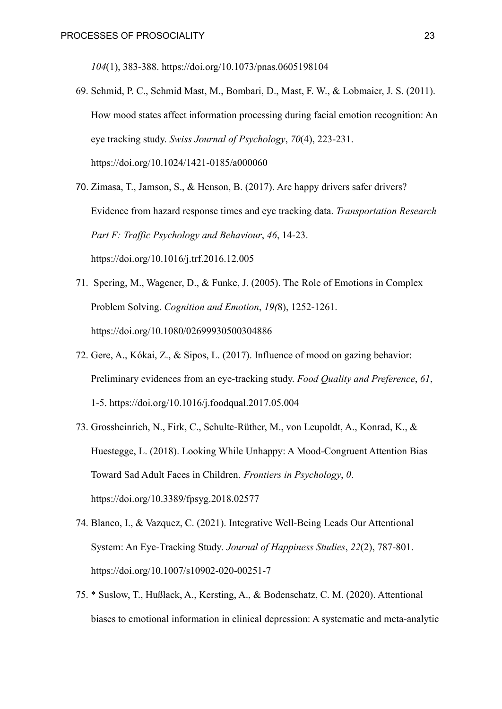*104*(1), 383-388. [https://doi.org/10.1073/pnas.0605198104](https://doi.org/%C2%AD10.1073/pnas.0605198104)

- 69. Schmid, P. C., Schmid Mast, M., Bombari, D., Mast, F. W., & Lobmaier, J. S. (2011). How mood states affect information processing during facial emotion recognition: An eye tracking study. *Swiss Journal of Psychology*, *70*(4), 223-231. <https://doi.org/10.1024/1421-0185/a000060>
- 70. Zimasa, T., Jamson, S., & Henson, B. (2017). Are happy drivers safer drivers? Evidence from hazard response times and eye tracking data. *Transportation Research Part F: Traffic Psychology and Behaviour*, *46*, 14-23. <https://doi.org/10.1016/j.trf.2016.12.005>
- 71. Spering, M., Wagener, D., & Funke, J. (2005). The Role of Emotions in Complex Problem Solving. *Cognition and Emotion*, *19(*8), 1252-1261. <https://doi.org/10.1080/02699930500304886>
- 72. Gere, A., Kókai, Z., & Sipos, L. (2017). Influence of mood on gazing behavior: Preliminary evidences from an eye-tracking study. *Food Quality and Preference*, *61*, 1-5. [https://doi.org/10.1016/j.foodqual.2017.05.004](https://doi.org/10.1016/%C2%ADj.foodqual.2017.05.004)
- 73. Grossheinrich, N., Firk, C., Schulte-Rüther, M., von Leupoldt, A., Konrad, K., & Huestegge, L. (2018). Looking While Unhappy: A Mood-Congruent Attention Bias Toward Sad Adult Faces in Children. *Frontiers in Psychology*, *0*. <https://doi.org/10.3389/fpsyg.2018.02577>
- 74. Blanco, I., & Vazquez, C. (2021). Integrative Well-Being Leads Our Attentional System: An Eye-Tracking Study. *Journal of Happiness Studies*, *22*(2), 787-801[.](https://doi.org/10.1007/s10902-020-00251-7) <https://doi.org/10.1007/s10902-020-00251-7>
- 75. \* Suslow, T., Hußlack, A., Kersting, A., & Bodenschatz, C. M. (2020). Attentional biases to emotional information in clinical depression: A systematic and meta-analytic